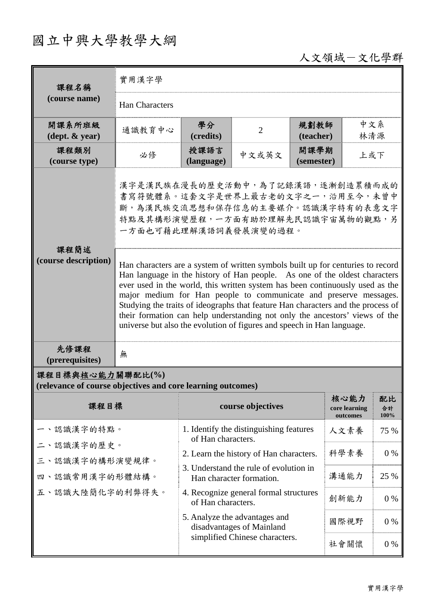## 國立中興大學教學大綱

人文領域-文化學群

| 課程名稱                                                                            | 實用漢字學                                                                                                                                                                                                                                                                                                                                                                                           |                                                                                                                                                                                |                   |                    |                                   |                  |  |
|---------------------------------------------------------------------------------|-------------------------------------------------------------------------------------------------------------------------------------------------------------------------------------------------------------------------------------------------------------------------------------------------------------------------------------------------------------------------------------------------|--------------------------------------------------------------------------------------------------------------------------------------------------------------------------------|-------------------|--------------------|-----------------------------------|------------------|--|
| (course name)                                                                   | <b>Han Characters</b>                                                                                                                                                                                                                                                                                                                                                                           |                                                                                                                                                                                |                   |                    |                                   |                  |  |
| 開課系所班級<br>$(\text{dept.} \& \text{ year})$                                      | 通識教育中心                                                                                                                                                                                                                                                                                                                                                                                          | 學分<br>(credits)                                                                                                                                                                | $\overline{2}$    | 規劃教師<br>(teacher)  | 中文系<br>林清源                        |                  |  |
| 課程類別<br>(course type)                                                           | 必修                                                                                                                                                                                                                                                                                                                                                                                              | 授課語言<br>(language)                                                                                                                                                             | 中文或英文             | 開課學期<br>(semester) | 上或下                               |                  |  |
| 課程簡述<br>(course description)                                                    | 漢字是漢民族在漫長的歷史活動中,為了記錄漢語,逐漸創造累積而成的<br>書寫符號體系。這套文字是世界上最古老的文字之一,沿用至今,未曾中<br>斷,為漢民族交流思想和保存信息的主要媒介。認識漢字特有的表意文字<br>特點及其構形演變歷程,一方面有助於理解先民認識宇宙萬物的觀點,另<br>一方面也可藉此理解漢語詞義發展演變的過程。<br>Han characters are a system of written symbols built up for centuries to record<br>Han language in the history of Han people. As one of the oldest characters                                                          |                                                                                                                                                                                |                   |                    |                                   |                  |  |
| 先修課程                                                                            | ever used in the world, this written system has been continuously used as the<br>major medium for Han people to communicate and preserve messages.<br>Studying the traits of ideographs that feature Han characters and the process of<br>their formation can help understanding not only the ancestors' views of the<br>universe but also the evolution of figures and speech in Han language. |                                                                                                                                                                                |                   |                    |                                   |                  |  |
| (prerequisites)                                                                 | 無                                                                                                                                                                                                                                                                                                                                                                                               |                                                                                                                                                                                |                   |                    |                                   |                  |  |
| 課程目標與核心能力關聯配比(%)<br>(relevance of course objectives and core learning outcomes) |                                                                                                                                                                                                                                                                                                                                                                                                 |                                                                                                                                                                                |                   |                    |                                   |                  |  |
| 課程目標                                                                            |                                                                                                                                                                                                                                                                                                                                                                                                 |                                                                                                                                                                                | course objectives |                    | 核心能力<br>core learning<br>outcomes | 配比<br>合計<br>100% |  |
| 、認識漢字的特點。<br>二、認識漢字的歷史。<br>三、認識漢字的構形演變規律。<br>四、認識常用漢字的形體結構。<br>五、認識大陸簡化字的利弊得失。  |                                                                                                                                                                                                                                                                                                                                                                                                 | 1. Identify the distinguishing features<br>of Han characters.<br>2. Learn the history of Han characters.<br>3. Understand the rule of evolution in<br>Han character formation. |                   |                    | 人文素養                              | 75 %             |  |
|                                                                                 |                                                                                                                                                                                                                                                                                                                                                                                                 |                                                                                                                                                                                |                   |                    | 科學素養                              | $0\%$            |  |
|                                                                                 |                                                                                                                                                                                                                                                                                                                                                                                                 |                                                                                                                                                                                |                   |                    | 溝通能力                              | 25 %             |  |
|                                                                                 |                                                                                                                                                                                                                                                                                                                                                                                                 | 4. Recognize general formal structures<br>of Han characters.                                                                                                                   |                   |                    | 創新能力                              | $0\%$            |  |
|                                                                                 |                                                                                                                                                                                                                                                                                                                                                                                                 | 5. Analyze the advantages and<br>disadvantages of Mainland                                                                                                                     |                   |                    | 國際視野                              | $0\%$            |  |
|                                                                                 |                                                                                                                                                                                                                                                                                                                                                                                                 | simplified Chinese characters.                                                                                                                                                 |                   |                    | 社會關懷                              | 0%               |  |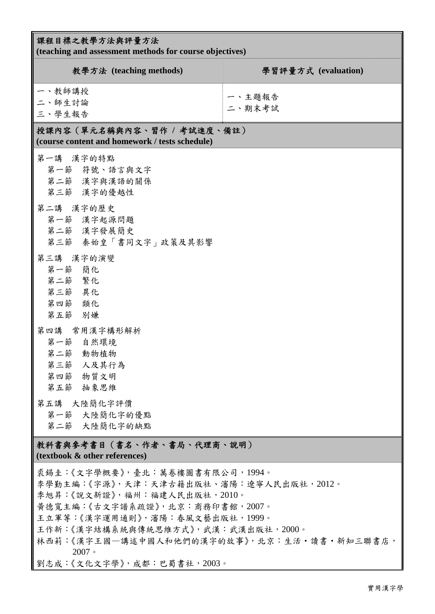| 課程目標之教學方法與評量方法<br>(teaching and assessment methods for course objectives)                                                                                                                                                                                                                                       |                     |  |  |  |  |
|-----------------------------------------------------------------------------------------------------------------------------------------------------------------------------------------------------------------------------------------------------------------------------------------------------------------|---------------------|--|--|--|--|
| 教學方法 (teaching methods)                                                                                                                                                                                                                                                                                         | 學習評量方式 (evaluation) |  |  |  |  |
| 一、教師講授<br>二、師生討論<br>三、學生報告                                                                                                                                                                                                                                                                                      | 一、主題報告<br>二、期末考試    |  |  |  |  |
| 授課內容 (單元名稱與內容、習作 / 考試進度、備註)<br>(course content and homework / tests schedule)                                                                                                                                                                                                                                   |                     |  |  |  |  |
| 第一講 漢字的特點<br>第一節 符號、語言與文字<br>第二節 漢字與漢語的關係<br>第三節 漢字的優越性                                                                                                                                                                                                                                                         |                     |  |  |  |  |
| 第二講 漢字的歷史<br>第一節 漢字起源問題<br>第二節 漢字發展簡史<br>第三節 秦始皇「書同文字」政策及其影響                                                                                                                                                                                                                                                    |                     |  |  |  |  |
| 第三講 漢字的演變<br>第一節 簡化<br>第二節 繁化<br>第三節 異化<br>第四節 類化<br>第五節 別嫌                                                                                                                                                                                                                                                     |                     |  |  |  |  |
| 第四講 常用漢字構形解析<br>第一節 自然環境<br>第二節 動物植物<br>第三節 人及其行為<br>第四節 物質文明<br>第五節 抽象思維                                                                                                                                                                                                                                       |                     |  |  |  |  |
| 第五講 大陸簡化字評價<br>第一節 大陸簡化字的優點<br>第二節 大陸簡化字的缺點                                                                                                                                                                                                                                                                     |                     |  |  |  |  |
| 教科書與參考書目(書名、作者、書局、代理商、說明)<br>(textbook & other references)                                                                                                                                                                                                                                                      |                     |  |  |  |  |
| 裘錫圭:《文字學概要》,臺北:萬卷樓圖書有限公司,1994。<br>李學勤主編:《字源》,天津:天津古籍出版社、瀋陽:遼寧人民出版社,2012。<br>季旭昇:《說文新證》,福州:福建人民出版社,2010。<br>黃德寬主編:《古文字譜系疏證》,北京:商務印書館,2007。<br>王立軍等:《漢字運用通則》, 瀋陽:春風文藝出版社, 1999。<br>王作新:《漢字結構系統與傳統思維方式》, 武漢: 武漢出版社, 2000。<br>林西莉:《漢字王國-講述中國人和他們的漢字的故事》,北京:生活 · 讀書 · 新知三聯書店,<br>2007<br>劉志成:《文化文字學》, 成都:巴蜀書社, 2003。 |                     |  |  |  |  |